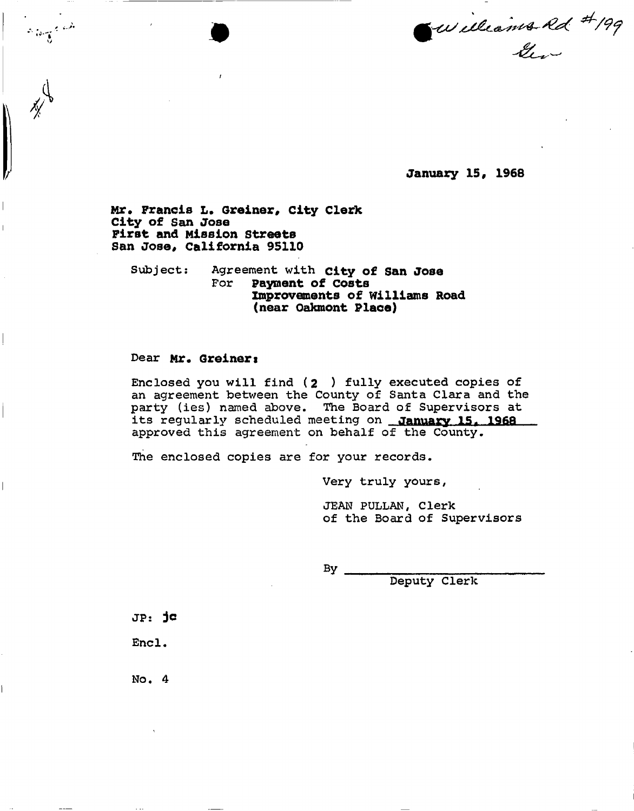Williams Rd # 199

**January 15, 1968** 

**Mr# Francis L. Greiner, City Clerk City of San Jose First and Mission Streets San Jose, California 95110** 

Subject: Agreement with **City of San Jose**  For **Payment of Costs Improvements of Williams Road (near Oakmont Place)** 

#### Dear **Mr. Greiners**

n lang si ndi

Enclosed you will find (2 ) fully executed copies of an agreement between the County of Santa Clara and the party (ies) named above. The Board of Supervisors at its regularly scheduled meeting on January 15, 1968 approved this agreement on behalf of the County.

The enclosed copies are for your records.

Very truly yours

JEAN PULLAN, Clerk of the Board of Supervisors

By

Deputy Clerk

**JP: jc** 

Encl.

No. 4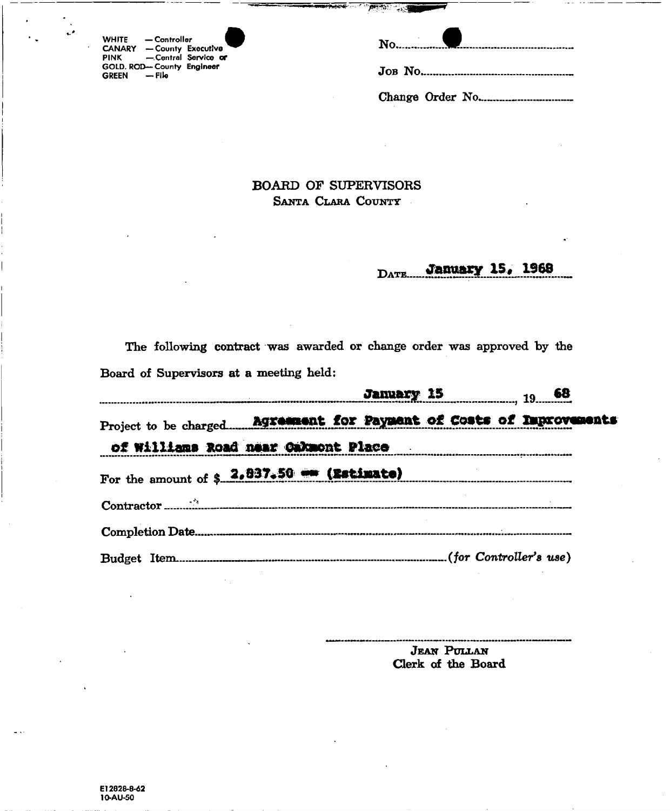| <b>WHITE</b>  | — Controller              |                     |
|---------------|---------------------------|---------------------|
| <b>CANARY</b> | - County Executive        |                     |
| <b>PINK</b>   |                           | -Central Service or |
|               | GOLD, ROD-County Engineer |                     |
| <b>GREEN</b>  | — File                    |                     |

| Change Order No. |  |
|------------------|--|

## **BOARD OF SUPERVISORS** SANTA CLARA COUNTY

#### **January 15, 1968** DATE.

The following contract was awarded or change order was approved by the Board of Supervisors at a meeting held:

|                                                                            |  |  |  | Project to be charged Agreement for Payment of Costs of Improvements |
|----------------------------------------------------------------------------|--|--|--|----------------------------------------------------------------------|
| of Williams Road near Oakmont Place                                        |  |  |  |                                                                      |
| For the amount of $\frac{2,837,50}{}$ and $\left(\frac{338.6}{100}\right)$ |  |  |  |                                                                      |
|                                                                            |  |  |  |                                                                      |
|                                                                            |  |  |  |                                                                      |
|                                                                            |  |  |  |                                                                      |

**JEAN PULLAN** Clerk of the Board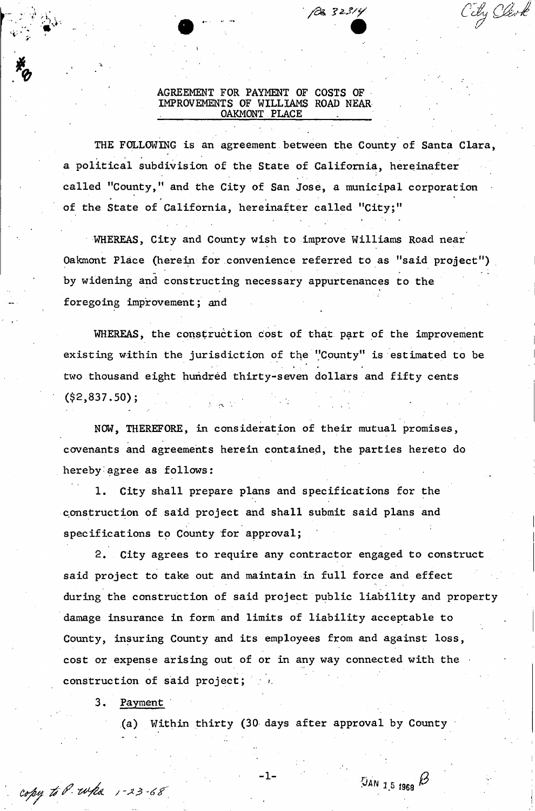### AGREEMENT FOR PAYMENT OF COSTS OF IMPROVEMENTS OF WILLIAMS ROAD NEAR OAKMONT PLACE

• \_ *• /em\*' ?* 

City Clerk

THE FOLLOWING is an agreement between the County of Santa Clara, a political subdivision of the State of California, hereinafter called "County," and the City of San Jose, a municipal corporation of the State of California, hereinafter called "City;"

WHEREAS, City and County wish to improve Williams Road near Oakmont Place (herein for convenience referred to as "said project") by widening and constructing necessary appurtenances to the foregoing improvement; and

WHEREAS, the construction cost of *that* part of the improvement existing within the jurisdiction of the "County" is estimated to be two thousand eight hundred thirty-seven dollars and fifty cents  $($ \$2,837.50);

NOW, THEREFORE, in consideration of their mutual promises, covenants and agreements herein contained, the parties hereto do hereby agree as follows:

1. City shall prepare plans and specifications for the construction of said project and shall submit said plans and specifications to County for approval;

2. City agrees to require any contractor engaged to construct said project to take out and maintain in full force and effect during the construction of said project public liability and property damage insurance in form and limits of liability acceptable to County, insuring County and its employees from and against loss, cost or expense arising out of or in any way connected with the construction of said project;

3. Payment

copy to P. Wha 1-23-68

(a) Within thirty (30- days after approval by County

 $\frac{15}{968}$   $\frac{1}{968}$ 

1-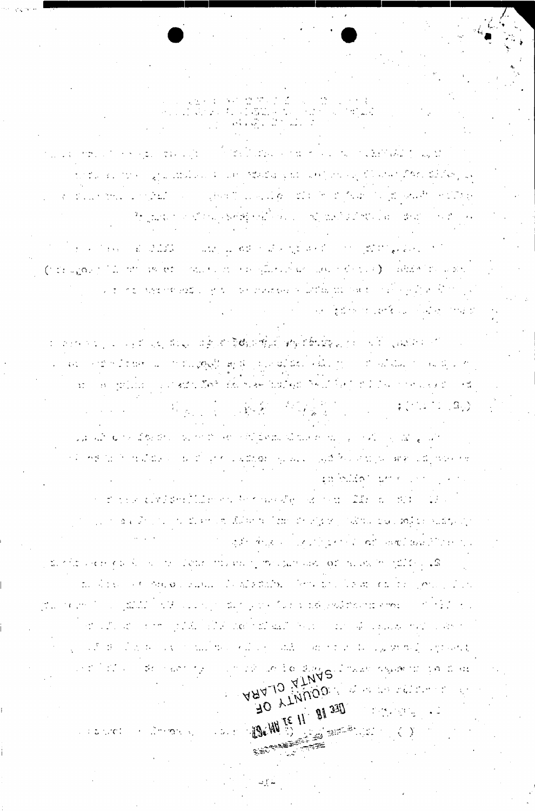$\omega = \sqrt{2} \pm 10^{-4}$ 

การทรงคุณ (สมเด็จ) ได้สมเด็จได้ เมื่อเป็นสมเด็จ (สมเด็จ) และ เมื่อ (สมเด็จ) ได้ และ เมื่อ (สมเด็จ) และ ไม่  $\sim 10^{12}$  km s  $^{-1}$ rigur et son e light touluit i um rodada gott um che en diversi Croco di longu of the tree of the community and the star was that the ground overling It generally of the problem of the construction of the law of the construction of the construction of the construction of the construction of the construction of the construction of the construction of the construction of n a thread an air an air an air an an an air an an an air an air an air an air an an an an air an air an air a

(the space of the attention of the control of the space of the model of the control of attack to separate  $\lambda$  to the MAT stringed of a state of the condition of anticonduction of  $\lambda$  and  $\lambda$  and  $\lambda$ a se o político de confessor de la contra d

រា ខេត្តមាន ១ ប្រធាន ឆ្នាំ ១៩ ដូចរាជន ខេ*ត្តិ នៅ* និ**ត**រូប<del>ក្សីន</del>្ទី ទុក្ខនិ<del>តិបន្ថែម ប្រ</del>បាន និង បាននិង កា and and with the control of the space of the second that and control of the second control of the second control ารถ และ รูหรู้เป็นการเจ้า หน้า เป็ดที่แต่ล้องของควรสมั่งคุณเจ้าอยู่ ถ้าที่ เรื่อง การท่างเจ้า มี และ  $\mathfrak{p}(\cdot)$  ,  $\mathfrak{p}(\cdot)$  ,  $\mathfrak{q}_{\mathbb{Z}}$  ) **有人的 不能的 不能** 

ವಾರಿ ಸಮೇ <mark>ಲ</mark>ೋರ್ನೆ ಅಂದೇಶ ಸಂಪರ್ಕಾರದ ಸಾಹಿತ್ಯ ನೆಟ್ಟುಕೊಳಪುರವಿಂದು ಕಾರ್ಯಕ್ರಮ ಸಂಸ್ಥೆಯನ್ನು ಸಾಹಿತ್ಯ ಪ್ರಮಾಣ ్ తన ప్రాంతాలు ప్రాంతా ప్రాంతాలు ప్రాంతాలు ఉండవాడి. ఇందించాలు ప్రైవేటు ప్రాంతాలు ప్రాంతాలు ప్రాంతాలు అంది  $\mathbf{m}$  with  $\mathbf{v}$  and  $\mathbf{v}$ 

a considerable children and the market of a same file of the same of ga shi a kulingina ne da kenyer Kulonda Tempele ang mga Malaysia ay s**ol**ida malaysing of the residence of the first of an annual and the second

, den fan de Hoose ferste in troch de taal mei strein, mei wat dat de deel tselste in ryddeld sall m die besteht de andere de alamin. Der in die antere besteht ora profile de Galal (1932), que se restaura por el fue a tubigraditamente removere la finitat del and the state of the control of the state of the state of the state of the state of the state of the  $\zeta = \sqrt{5}$  , the contract of the second term of  $\zeta$  and  $\zeta$  are the contract of the component  $\zeta$ AVIU MNOOR AMERICANI

 $1.519$ 

in Shiman su a dia secolo

EDE NU TE II DI DI TE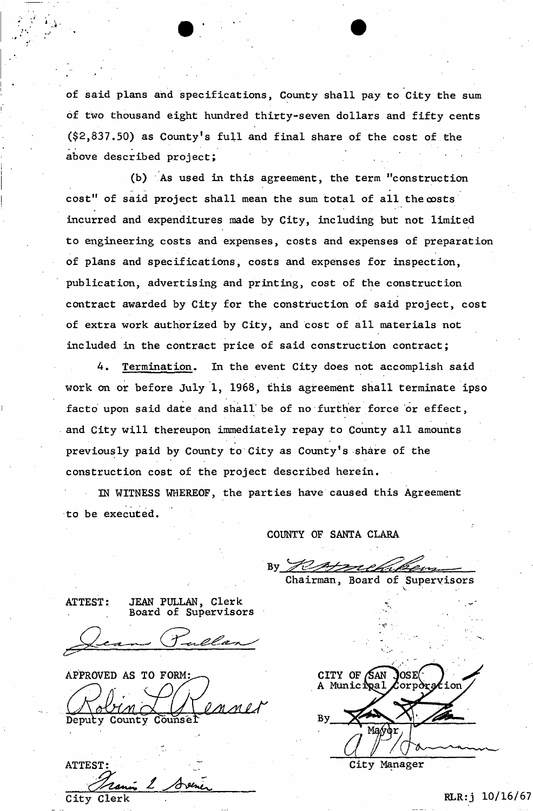of said plans and specifications, County shall pay to City the sum of two thousand eight hundred thirty-seven dollars and fifty cents (\$2,837.50) as County's full and final share of the cost of the above described project;

(b) As used in this agreement, the term "construction cost" of said project shall mean the sum total of all the costs incurred and expenditures made by City, including but not limited to engineering costs and expenses, costs and expenses of preparation of plans and specifications, costs and expenses for inspection, publication, advertising and printing, cost of the construction contract awarded by City for the construction of said project, cost of extra work authorized by City, and cost of all materials not included in the contract price of said construction contract;

4. Termination. In the event City does not accomplish said work on or before July 1, 1968, this agreement shall terminate ipso facto upon said date and shall be of no further force or effect, and City will thereupon immediately repay to County all amounts previously paid by County to City as County's share of the construction cost of the project described herein.

IN WITNESS WHEREOF, the parties have caused this Agreement to be executed.

COUNTY OF SANTA CLARA

By

Chairman, Board of Supervisors

 $\mathbb{P}_{\mathbf{p},\mathbf{q}}\left( \mathbb{P}_{\mathbf{p},\mathbf{q}}\right) =\mathbb{P}_{\mathbf{p},\mathbf{q}}\left( \mathbb{P}_{\mathbf{p},\mathbf{q}}\right)$ *'J* 

> ATTEST: JEAN PULLAN, Clerk Board of Supervisors

J2

APPROVED AS TO FORM: *i/i/nt f*  Deputy County Counsel

**ATTEST** 

City Clerk

CITY OF *(*SAN **OSE** Munich<sub>Ral</sub> า์ ∩r Ma

City Manager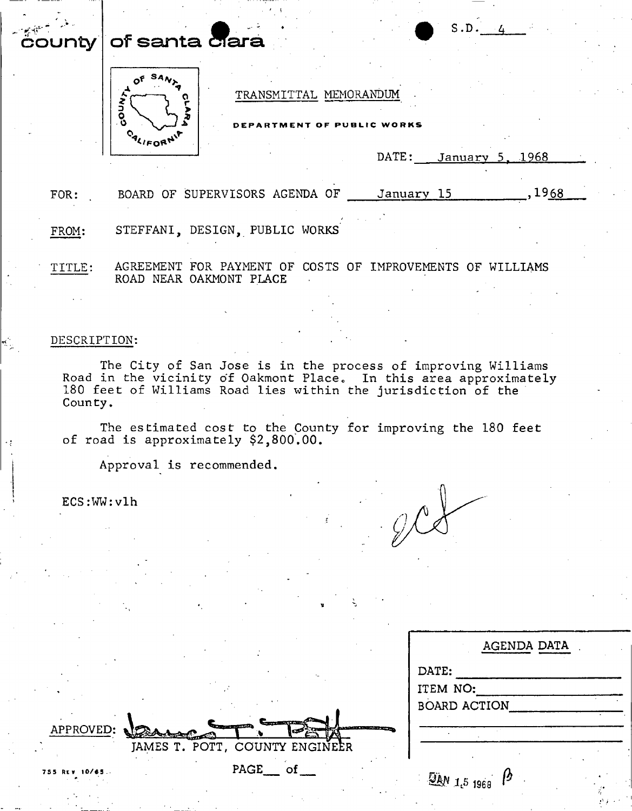# county  $\mid$  of santa clara



TRANSMITTAL MEMORANDUM

**DBLIC WORKS** 

DATE: January 5. 1968

 $S \cdot D$ .

FOR: BOARD OF SUPERVISORS AGENDA OF January 15 1968

FROM: STEFFANI, DESIGN, PUBLIC WORKS

TITLE: AGREEMENT FOR PAYMENT OF COSTS OF IMPROVEMENTS OF WILLIAMS ROAD NEAR OAKMONT PLACE

#### DESCRIPTION:

The City of San Jose is in the process of improving Williams Road in the vicinity of Oakmont Place. In this area approximately 180 feet of Williams Road lies within the jurisdiction of the County.

The estimated cost to the County for improving the 180 feet of road is approximately \$2,800,00.

PAGE of

JAMES T. POTT, COUNTY ENGINEER

Approval is recommended.

ECS:WW:vlh

APPROVED

755 REV 10/65

| AGENDA DATA                       |  |
|-----------------------------------|--|
| DATE:                             |  |
| ITEM NO:                          |  |
| <b>BOARD ACTION</b>               |  |
|                                   |  |
|                                   |  |
|                                   |  |
| <b>DAN</b> 1.5 1968 $\frac{1}{2}$ |  |